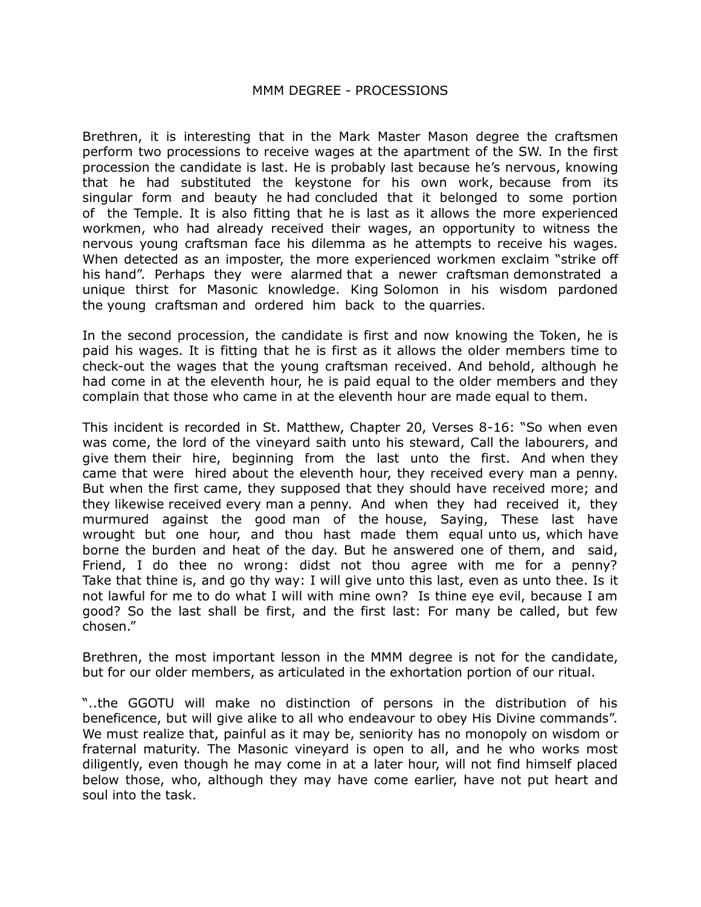## MMM DEGREE - PROCESSIONS

Brethren, it is interesting that in the Mark Master Mason degree the craftsmen perform two processions to receive wages at the apartment of the SW. In the first procession the candidate is last. He is probably last because he's nervous, knowing that he had substituted the keystone for his own work, because from its singular form and beauty he had concluded that it belonged to some portion of the Temple. It is also fitting that he is last as it allows the more experienced workmen, who had already received their wages, an opportunity to witness the nervous young craftsman face his dilemma as he attempts to receive his wages. When detected as an imposter, the more experienced workmen exclaim "strike off his hand". Perhaps they were alarmed that a newer craftsman demonstrated a unique thirst for Masonic knowledge. King Solomon in his wisdom pardoned the young craftsman and ordered him back to the quarries.

In the second procession, the candidate is first and now knowing the Token, he is paid his wages. It is fitting that he is first as it allows the older members time to check-out the wages that the young craftsman received. And behold, although he had come in at the eleventh hour, he is paid equal to the older members and they complain that those who came in at the eleventh hour are made equal to them.

This incident is recorded in St. Matthew, Chapter 20, Verses 8-16: "So when even was come, the lord of the vineyard saith unto his steward, Call the labourers, and give them their hire, beginning from the last unto the first. And when they came that were hired about the eleventh hour, they received every man a penny. But when the first came, they supposed that they should have received more; and they likewise received every man a penny. And when they had received it, they murmured against the good man of the house, Saying, These last have wrought but one hour, and thou hast made them equal unto us, which have borne the burden and heat of the day. But he answered one of them, and said, Friend, I do thee no wrong: didst not thou agree with me for a penny? Take that thine is, and go thy way: I will give unto this last, even as unto thee. Is it not lawful for me to do what I will with mine own? Is thine eye evil, because I am good? So the last shall be first, and the first last: For many be called, but few chosen."

Brethren, the most important lesson in the MMM degree is not for the candidate, but for our older members, as articulated in the exhortation portion of our ritual.

"..the GGOTU will make no distinction of persons in the distribution of his beneficence, but will give alike to all who endeavour to obey His Divine commands". We must realize that, painful as it may be, seniority has no monopoly on wisdom or fraternal maturity. The Masonic vineyard is open to all, and he who works most diligently, even though he may come in at a later hour, will not find himself placed below those, who, although they may have come earlier, have not put heart and soul into the task.